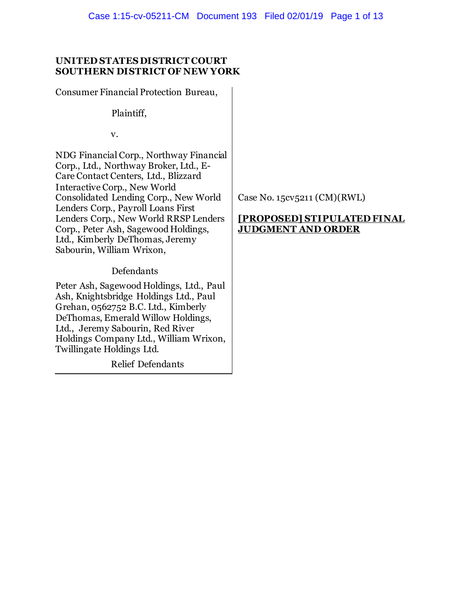## **UNITED STATES DISTRICT COURT SOUTHERN DISTRICT OF NEW YORK**

Consumer Financial Protection Bureau,

Plaintiff,

v.

NDG Financial Corp., Northway Financial Corp., Ltd., Northway Broker, Ltd., E-Care Contact Centers, Ltd., Blizzard Interactive Corp., New World Consolidated Lending Corp., New World Lenders Corp., Payroll Loans First Lenders Corp., New World RRSP Lenders Corp., Peter Ash, Sagewood Holdings, Ltd., Kimberly DeThomas, Jeremy Sabourin, William Wrixon,

## Defendants

Peter Ash, Sagewood Holdings, Ltd., Paul Ash, Knightsbridge Holdings Ltd., Paul Grehan, 0562752 B.C. Ltd., Kimberly DeThomas, Emerald Willow Holdings, Ltd., Jeremy Sabourin, Red River Holdings Company Ltd., William Wrixon, Twillingate Holdings Ltd.

Relief Defendants

Case No. 15cv5211 (CM)(RWL)

## **[PROPOSED] STIPULATED FINAL JUDGMENT AND ORDER**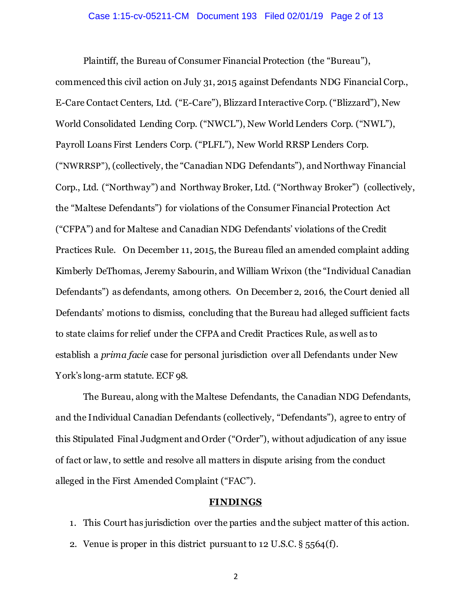Plaintiff, the Bureau of Consumer Financial Protection (the "Bureau"), commenced this civil action on July 31, 2015 against Defendants NDG Financial Corp., E-Care Contact Centers, Ltd. ("E-Care"), Blizzard Interactive Corp. ("Blizzard"), New World Consolidated Lending Corp. ("NWCL"), New World Lenders Corp. ("NWL"), Payroll Loans First Lenders Corp. ("PLFL"), New World RRSP Lenders Corp. ("NWRRSP"), (collectively, the "Canadian NDG Defendants"), and Northway Financial Corp., Ltd. ("Northway") and Northway Broker, Ltd. ("Northway Broker") (collectively, the "Maltese Defendants") for violations of the Consumer Financial Protection Act ("CFPA") and for Maltese and Canadian NDG Defendants' violations of the Credit Practices Rule. On December 11, 2015, the Bureau filed an amended complaint adding Kimberly DeThomas, Jeremy Sabourin, and William Wrixon (the "Individual Canadian Defendants") as defendants, among others. On December 2, 2016, the Court denied all Defendants' motions to dismiss, concluding that the Bureau had alleged sufficient facts to state claims for relief under the CFPA and Credit Practices Rule, as well as to establish a *prima facie* case for personal jurisdiction over all Defendants under New York's long-arm statute. ECF 98.

The Bureau, along with the Maltese Defendants, the Canadian NDG Defendants, and the Individual Canadian Defendants (collectively, "Defendants"), agree to entry of this Stipulated Final Judgment and Order ("Order"), without adjudication of any issue of fact or law, to settle and resolve all matters in dispute arising from the conduct alleged in the First Amended Complaint ("FAC").

#### **FINDINGS**

1. This Court has jurisdiction over the parties and the subject matter of this action.

2. Venue is proper in this district pursuant to 12 U.S.C. § 5564(f).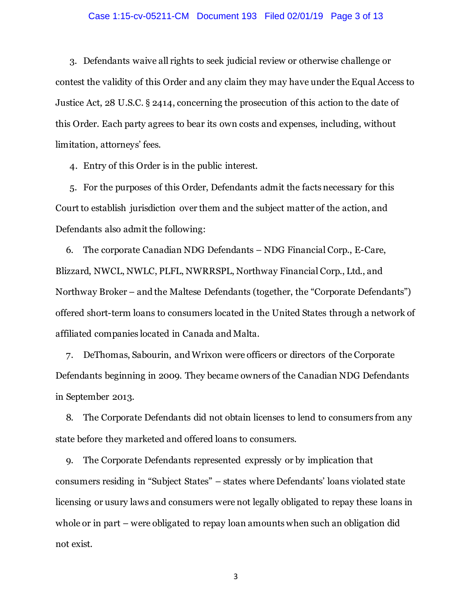#### Case 1:15-cv-05211-CM Document 193 Filed 02/01/19 Page 3 of 13

3. Defendants waive all rights to seek judicial review or otherwise challenge or contest the validity of this Order and any claim they may have under the Equal Access to Justice Act, 28 U.S.C. § 2414, concerning the prosecution of this action to the date of this Order. Each party agrees to bear its own costs and expenses, including, without limitation, attorneys' fees.

4. Entry of this Order is in the public interest.

5. For the purposes of this Order, Defendants admit the facts necessary for this Court to establish jurisdiction over them and the subject matter of the action, and Defendants also admit the following:

6. The corporate Canadian NDG Defendants – NDG Financial Corp., E-Care, Blizzard, NWCL, NWLC, PLFL, NWRRSPL, Northway Financial Corp., Ltd., and Northway Broker – and the Maltese Defendants (together, the "Corporate Defendants") offered short-term loans to consumers located in the United States through a network of affiliated companies located in Canada and Malta.

7. DeThomas, Sabourin, and Wrixon were officers or directors of the Corporate Defendants beginning in 2009. They became owners of the Canadian NDG Defendants in September 2013.

8. The Corporate Defendants did not obtain licenses to lend to consumers from any state before they marketed and offered loans to consumers.

9. The Corporate Defendants represented expressly or by implication that consumers residing in "Subject States" – states where Defendants' loans violated state licensing or usury laws and consumers were not legally obligated to repay these loans in whole or in part – were obligated to repay loan amounts when such an obligation did not exist.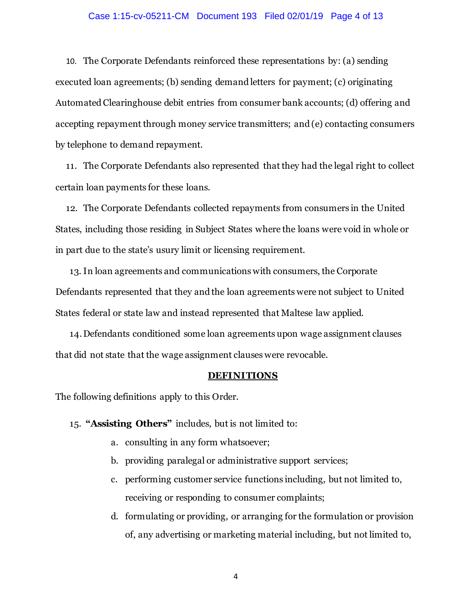#### Case 1:15-cv-05211-CM Document 193 Filed 02/01/19 Page 4 of 13

10. The Corporate Defendants reinforced these representations by: (a) sending executed loan agreements; (b) sending demand letters for payment; (c) originating Automated Clearinghouse debit entries from consumer bank accounts; (d) offering and accepting repayment through money service transmitters; and (e) contacting consumers by telephone to demand repayment.

11. The Corporate Defendants also represented that they had the legal right to collect certain loan payments for these loans.

12. The Corporate Defendants collected repayments from consumers in the United States, including those residing in Subject States where the loans were void in whole or in part due to the state's usury limit or licensing requirement.

13. In loan agreements and communications with consumers, the Corporate Defendants represented that they and the loan agreements were not subject to United States federal or state law and instead represented that Maltese law applied.

14.Defendants conditioned some loan agreements upon wage assignment clauses that did not state that the wage assignment clauses were revocable.

#### **DEFINITIONS**

The following definitions apply to this Order.

15. **"Assisting Others"** includes, but is not limited to:

- a. consulting in any form whatsoever;
- b. providing paralegal or administrative support services;
- c. performing customer service functions including, but not limited to, receiving or responding to consumer complaints;
- d. formulating or providing, or arranging for the formulation or provision of, any advertising or marketing material including, but not limited to,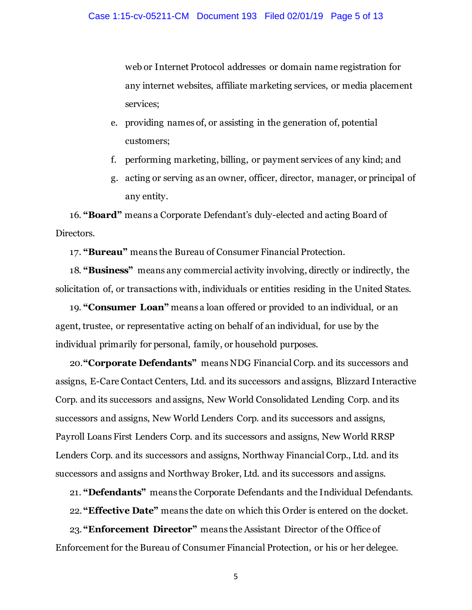web or Internet Protocol addresses or domain name registration for any internet websites, affiliate marketing services, or media placement services;

- e. providing names of, or assisting in the generation of, potential customers;
- f. performing marketing, billing, or payment services of any kind; and
- g. acting or serving as an owner, officer, director, manager, or principal of any entity.

16. **"Board"** means a Corporate Defendant's duly-elected and acting Board of Directors.

17. **"Bureau"** means the Bureau of Consumer Financial Protection.

18. **"Business"** means any commercial activity involving, directly or indirectly, the solicitation of, or transactions with, individuals or entities residing in the United States.

19. **"Consumer Loan"** means a loan offered or provided to an individual, or an agent, trustee, or representative acting on behalf of an individual, for use by the individual primarily for personal, family, or household purposes.

20.**"Corporate Defendants"** means NDG Financial Corp. and its successors and assigns, E-Care Contact Centers, Ltd. and its successors and assigns, Blizzard Interactive Corp. and its successors and assigns, New World Consolidated Lending Corp. and its successors and assigns, New World Lenders Corp. and its successors and assigns, Payroll Loans First Lenders Corp. and its successors and assigns, New World RRSP Lenders Corp. and its successors and assigns, Northway Financial Corp., Ltd. and its successors and assigns and Northway Broker, Ltd. and its successors and assigns.

21. **"Defendants"** means the Corporate Defendants and the Individual Defendants.

22. **"Effective Date"** means the date on which this Order is entered on the docket.

23. **"Enforcement Director"** means the Assistant Director of the Office of Enforcement for the Bureau of Consumer Financial Protection, or his or her delegee.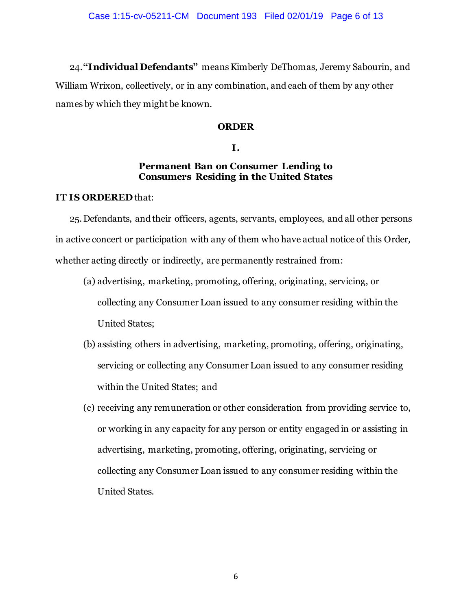24.**"Individual Defendants"** means Kimberly DeThomas, Jeremy Sabourin, and William Wrixon, collectively, or in any combination, and each of them by any other names by which they might be known.

## **ORDER**

## **I.**

## **Permanent Ban on Consumer Lending to Consumers Residing in the United States**

## **IT IS ORDERED** that:

25.Defendants, and their officers, agents, servants, employees, and all other persons in active concert or participation with any of them who have actual notice of this Order*,*  whether acting directly or indirectly, are permanently restrained from:

- (a) advertising, marketing, promoting, offering, originating, servicing, or collecting any Consumer Loan issued to any consumer residing within the United States;
- (b) assisting others in advertising, marketing, promoting, offering, originating, servicing or collecting any Consumer Loan issued to any consumer residing within the United States; and
- (c) receiving any remuneration or other consideration from providing service to, or working in any capacity for any person or entity engaged in or assisting in advertising, marketing, promoting, offering, originating, servicing or collecting any Consumer Loan issued to any consumer residing within the United States.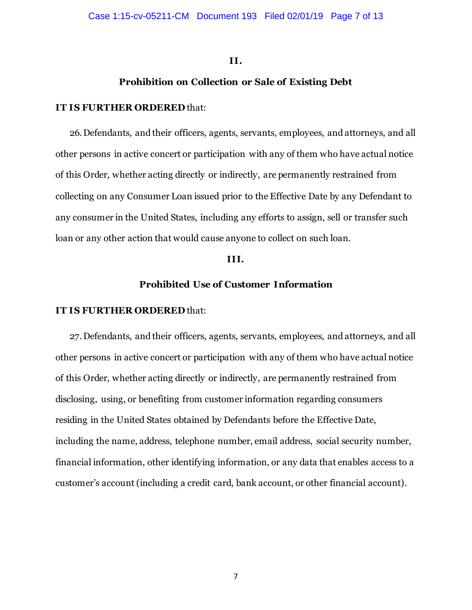#### **II.**

## **Prohibition on Collection or Sale of Existing Debt**

#### **IT IS FURTHER ORDERED** that:

26.Defendants, and their officers, agents, servants, employees, and attorneys, and all other persons in active concert or participation with any of them who have actual notice of this Order*,* whether acting directly or indirectly, are permanently restrained from collecting on any Consumer Loan issued prior to the Effective Date by any Defendant to any consumer in the United States, including any efforts to assign, sell or transfer such loan or any other action that would cause anyone to collect on such loan.

#### **III.**

## **Prohibited Use of Customer Information**

#### **IT IS FURTHER ORDERED** that:

27.Defendants, and their officers, agents, servants, employees, and attorneys, and all other persons in active concert or participation with any of them who have actual notice of this Order*,* whether acting directly or indirectly, are permanently restrained from disclosing, using, or benefiting from customer information regarding consumers residing in the United States obtained by Defendants before the Effective Date, including the name, address, telephone number, email address, social security number, financial information, other identifying information, or any data that enables access to a customer's account (including a credit card, bank account, or other financial account).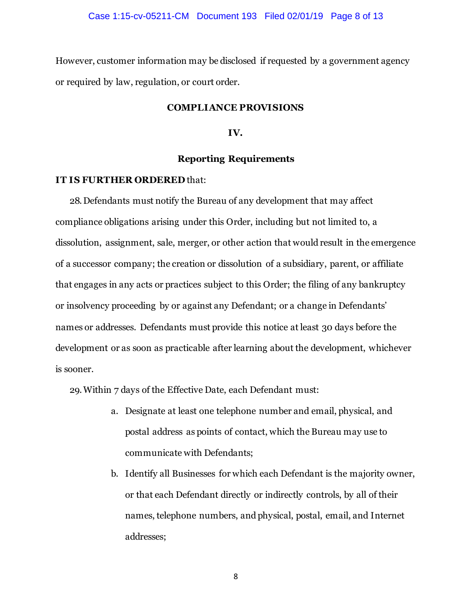However, customer information may be disclosed if requested by a government agency or required by law, regulation, or court order.

#### **COMPLIANCE PROVISIONS**

**IV.**

#### **Reporting Requirements**

#### **IT IS FURTHER ORDERED** that:

28.Defendants must notify the Bureau of any development that may affect compliance obligations arising under this Order, including but not limited to, a dissolution, assignment, sale, merger, or other action that would result in the emergence of a successor company; the creation or dissolution of a subsidiary, parent, or affiliate that engages in any acts or practices subject to this Order; the filing of any bankruptcy or insolvency proceeding by or against any Defendant; or a change in Defendants' names or addresses. Defendants must provide this notice at least 30 days before the development or as soon as practicable after learning about the development, whichever is sooner.

<span id="page-7-0"></span>29.Within 7 days of the Effective Date, each Defendant must:

- a. Designate at least one telephone number and email, physical, and postal address as points of contact, which the Bureau may use to communicate with Defendants;
- b. Identify all Businesses for which each Defendant is the majority owner, or that each Defendant directly or indirectly controls, by all of their names, telephone numbers, and physical, postal, email, and Internet addresses;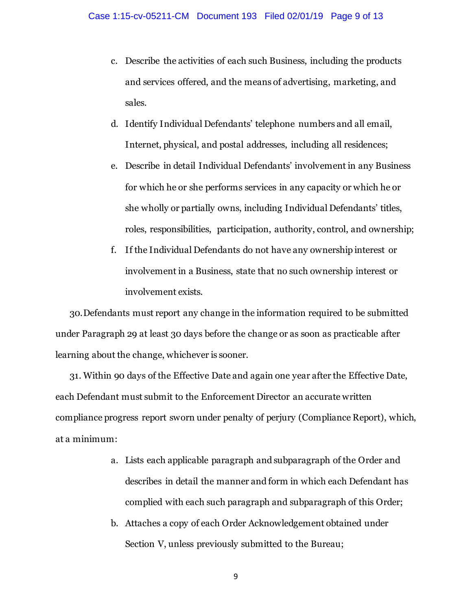- c. Describe the activities of each such Business, including the products and services offered, and the means of advertising, marketing, and sales.
- d. Identify Individual Defendants' telephone numbers and all email, Internet, physical, and postal addresses, including all residences;
- e. Describe in detail Individual Defendants' involvement in any Business for which he or she performs services in any capacity or which he or she wholly or partially owns, including Individual Defendants' titles, roles, responsibilities, participation, authority, control, and ownership;
- f. If the Individual Defendants do not have any ownership interest or involvement in a Business, state that no such ownership interest or involvement exists.

30.Defendants must report any change in the information required to be submitted under Paragrap[h 29](#page-7-0) at least 30 days before the change or as soon as practicable after learning about the change, whichever is sooner.

31. Within 90 days of the Effective Date and again one year after the Effective Date, each Defendant must submit to the Enforcement Director an accurate written compliance progress report sworn under penalty of perjury (Compliance Report), which, at a minimum:

- a. Lists each applicable paragraph and subparagraph of the Order and describes in detail the manner and form in which each Defendant has complied with each such paragraph and subparagraph of this Order;
- b. Attaches a copy of each Order Acknowledgement obtained under Section V, unless previously submitted to the Bureau;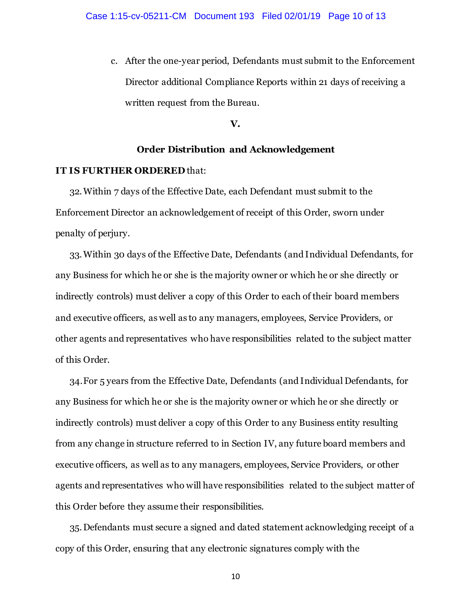c. After the one-year period, Defendants must submit to the Enforcement Director additional Compliance Reports within 21 days of receiving a written request from the Bureau.

#### **V.**

### **Order Distribution and Acknowledgement**

### **IT IS FURTHER ORDERED** that:

32.Within 7 days of the Effective Date, each Defendant must submit to the Enforcement Director an acknowledgement of receipt of this Order, sworn under penalty of perjury.

33.Within 30 days of the Effective Date, Defendants (and Individual Defendants, for any Business for which he or she is the majority owner or which he or she directly or indirectly controls) must deliver a copy of this Order to each of their board members and executive officers, as well as to any managers, employees, Service Providers, or other agents and representatives who have responsibilities related to the subject matter of this Order.

34.For 5 years from the Effective Date, Defendants (and Individual Defendants, for any Business for which he or she is the majority owner or which he or she directly or indirectly controls) must deliver a copy of this Order to any Business entity resulting from any change in structure referred to in Section IV, any future board members and executive officers, as well as to any managers, employees, Service Providers, or other agents and representatives who will have responsibilities related to the subject matter of this Order before they assume their responsibilities.

35.Defendants must secure a signed and dated statement acknowledging receipt of a copy of this Order, ensuring that any electronic signatures comply with the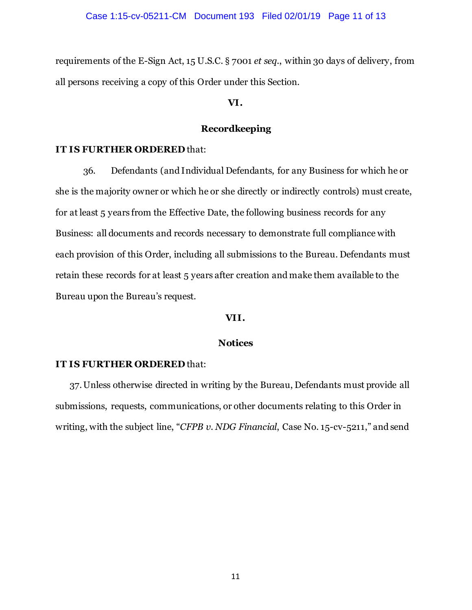requirements of the E-Sign Act, 15 U.S.C. § 7001 *et seq*., within 30 days of delivery, from all persons receiving a copy of this Order under this Section.

#### **VI.**

## **Recordkeeping**

## **IT IS FURTHER ORDERED** that:

36. Defendants (and Individual Defendants, for any Business for which he or she is the majority owner or which he or she directly or indirectly controls) must create, for at least 5 years from the Effective Date, the following business records for any Business: all documents and records necessary to demonstrate full compliance with each provision of this Order, including all submissions to the Bureau. Defendants must retain these records for at least 5 years after creation and make them available to the Bureau upon the Bureau's request.

### **VII.**

### **Notices**

#### **IT IS FURTHER ORDERED** that:

37.Unless otherwise directed in writing by the Bureau, Defendants must provide all submissions, requests, communications, or other documents relating to this Order in writing, with the subject line, "*CFPB v. NDG Financial*, Case No. 15-cv-5211," and send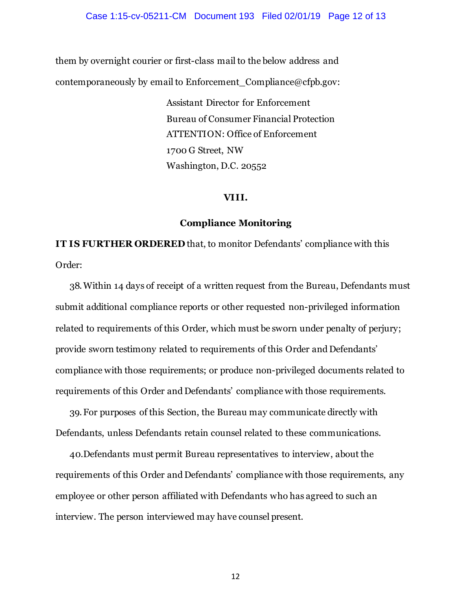them by overnight courier or first-class mail to the below address and contemporaneously by email to Enforcement Compliance@cfpb.gov:

> Assistant Director for Enforcement Bureau of Consumer Financial Protection ATTENTION: Office of Enforcement 1700 G Street, NW Washington, D.C. 20552

#### **VIII.**

#### **Compliance Monitoring**

**IT IS FURTHER ORDERED** that, to monitor Defendants' compliance with this Order:

38.Within 14 days of receipt of a written request from the Bureau, Defendants must submit additional compliance reports or other requested non-privileged information related to requirements of this Order, which must be sworn under penalty of perjury; provide sworn testimony related to requirements of this Order and Defendants' compliance with those requirements; or produce non-privileged documents related to requirements of this Order and Defendants' compliance with those requirements.

39.For purposes of this Section, the Bureau may communicate directly with Defendants, unless Defendants retain counsel related to these communications.

40.Defendants must permit Bureau representatives to interview, about the requirements of this Order and Defendants' compliance with those requirements, any employee or other person affiliated with Defendants who has agreed to such an interview. The person interviewed may have counsel present.